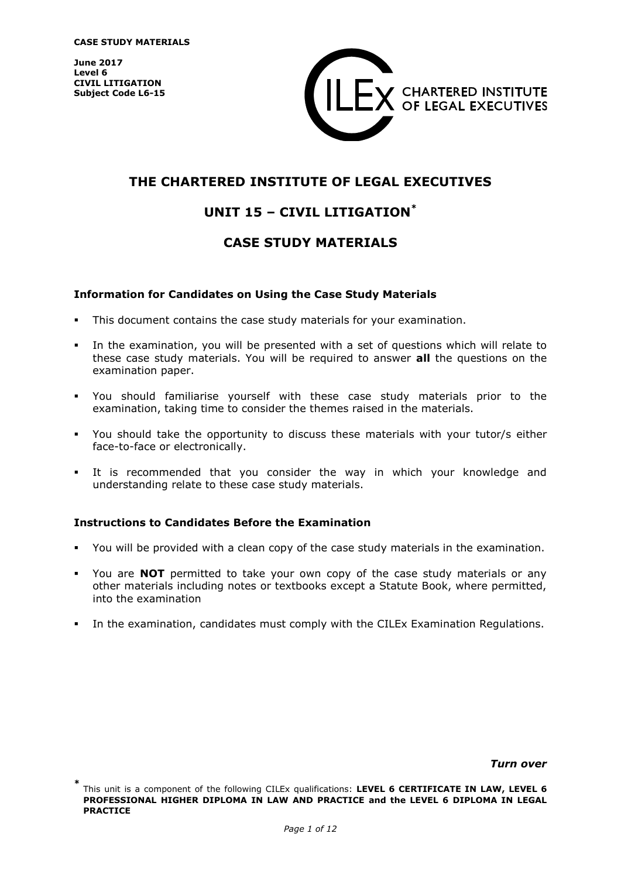**June 2017 Level 6 CIVIL LITIGATION Subject Code L6-15**



# **THE CHARTERED INSTITUTE OF LEGAL EXECUTIVES**

# **UNIT 15 – CIVIL LITIGATION\***

# **CASE STUDY MATERIALS**

### **Information for Candidates on Using the Case Study Materials**

- This document contains the case study materials for your examination.
- In the examination, you will be presented with a set of questions which will relate to these case study materials. You will be required to answer **all** the questions on the examination paper.
- You should familiarise yourself with these case study materials prior to the examination, taking time to consider the themes raised in the materials.
- You should take the opportunity to discuss these materials with your tutor/s either face-to-face or electronically.
- It is recommended that you consider the way in which your knowledge and understanding relate to these case study materials.

#### **Instructions to Candidates Before the Examination**

- You will be provided with a clean copy of the case study materials in the examination.
- You are **NOT** permitted to take your own copy of the case study materials or any other materials including notes or textbooks except a Statute Book, where permitted, into the examination
- In the examination, candidates must comply with the CILEx Examination Regulations.

#### *Turn over*

**<sup>\*</sup>** This unit is a component of the following CILEx qualifications: **LEVEL 6 CERTIFICATE IN LAW, LEVEL 6 PROFESSIONAL HIGHER DIPLOMA IN LAW AND PRACTICE and the LEVEL 6 DIPLOMA IN LEGAL PRACTICE**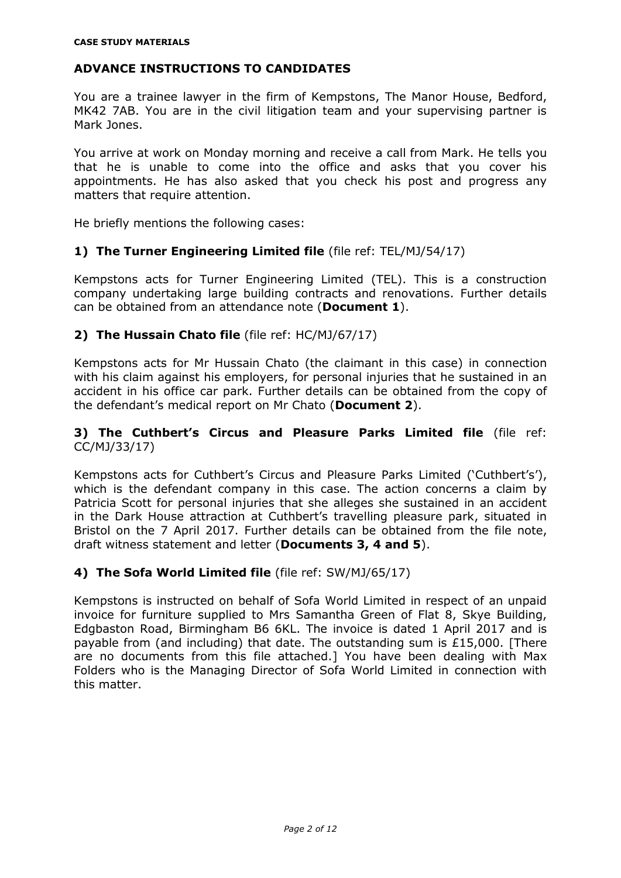# **ADVANCE INSTRUCTIONS TO CANDIDATES**

You are a trainee lawyer in the firm of Kempstons, The Manor House, Bedford, MK42 7AB. You are in the civil litigation team and your supervising partner is Mark Jones.

You arrive at work on Monday morning and receive a call from Mark. He tells you that he is unable to come into the office and asks that you cover his appointments. He has also asked that you check his post and progress any matters that require attention.

He briefly mentions the following cases:

## **1) The Turner Engineering Limited file** (file ref: TEL/MJ/54/17)

Kempstons acts for Turner Engineering Limited (TEL). This is a construction company undertaking large building contracts and renovations. Further details can be obtained from an attendance note (**Document 1**).

## **2) The Hussain Chato file** (file ref: HC/MJ/67/17)

Kempstons acts for Mr Hussain Chato (the claimant in this case) in connection with his claim against his employers, for personal injuries that he sustained in an accident in his office car park. Further details can be obtained from the copy of the defendant's medical report on Mr Chato (**Document 2**).

## **3) The Cuthbert's Circus and Pleasure Parks Limited file** (file ref: CC/MJ/33/17)

Kempstons acts for Cuthbert's Circus and Pleasure Parks Limited ('Cuthbert's'), which is the defendant company in this case. The action concerns a claim by Patricia Scott for personal injuries that she alleges she sustained in an accident in the Dark House attraction at Cuthbert's travelling pleasure park, situated in Bristol on the 7 April 2017. Further details can be obtained from the file note, draft witness statement and letter (**Documents 3, 4 and 5**).

## **4) The Sofa World Limited file** (file ref: SW/MJ/65/17)

Kempstons is instructed on behalf of Sofa World Limited in respect of an unpaid invoice for furniture supplied to Mrs Samantha Green of Flat 8, Skye Building, Edgbaston Road, Birmingham B6 6KL. The invoice is dated 1 April 2017 and is payable from (and including) that date. The outstanding sum is £15,000. [There are no documents from this file attached.] You have been dealing with Max Folders who is the Managing Director of Sofa World Limited in connection with this matter.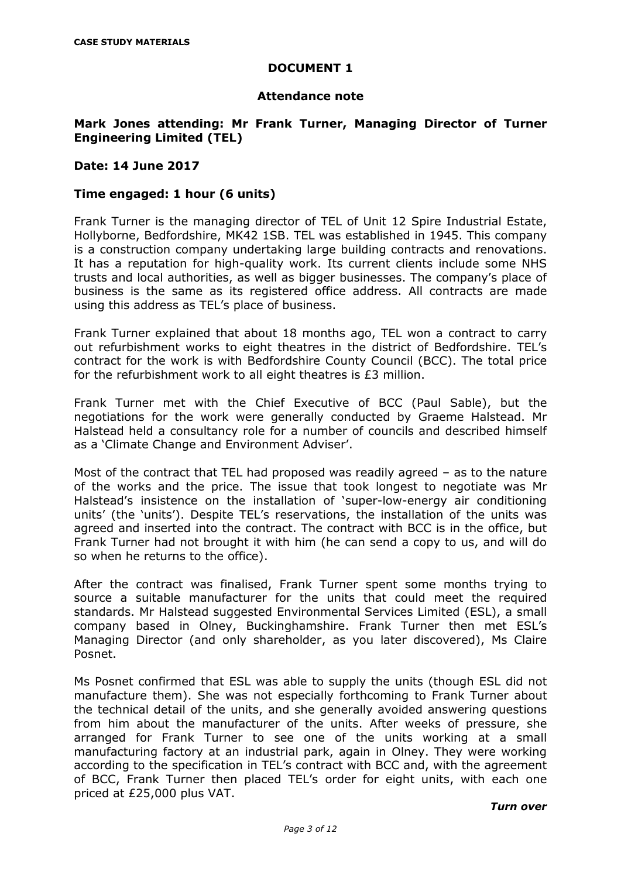## **Attendance note**

## **Mark Jones attending: Mr Frank Turner, Managing Director of Turner Engineering Limited (TEL)**

### **Date: 14 June 2017**

## **Time engaged: 1 hour (6 units)**

Frank Turner is the managing director of TEL of Unit 12 Spire Industrial Estate, Hollyborne, Bedfordshire, MK42 1SB. TEL was established in 1945. This company is a construction company undertaking large building contracts and renovations. It has a reputation for high-quality work. Its current clients include some NHS trusts and local authorities, as well as bigger businesses. The company's place of business is the same as its registered office address. All contracts are made using this address as TEL's place of business.

Frank Turner explained that about 18 months ago, TEL won a contract to carry out refurbishment works to eight theatres in the district of Bedfordshire. TEL's contract for the work is with Bedfordshire County Council (BCC). The total price for the refurbishment work to all eight theatres is £3 million.

Frank Turner met with the Chief Executive of BCC (Paul Sable), but the negotiations for the work were generally conducted by Graeme Halstead. Mr Halstead held a consultancy role for a number of councils and described himself as a 'Climate Change and Environment Adviser'.

Most of the contract that TEL had proposed was readily agreed – as to the nature of the works and the price. The issue that took longest to negotiate was Mr Halstead's insistence on the installation of 'super-low-energy air conditioning units' (the 'units'). Despite TEL's reservations, the installation of the units was agreed and inserted into the contract. The contract with BCC is in the office, but Frank Turner had not brought it with him (he can send a copy to us, and will do so when he returns to the office).

After the contract was finalised, Frank Turner spent some months trying to source a suitable manufacturer for the units that could meet the required standards. Mr Halstead suggested Environmental Services Limited (ESL), a small company based in Olney, Buckinghamshire. Frank Turner then met ESL's Managing Director (and only shareholder, as you later discovered), Ms Claire Posnet.

Ms Posnet confirmed that ESL was able to supply the units (though ESL did not manufacture them). She was not especially forthcoming to Frank Turner about the technical detail of the units, and she generally avoided answering questions from him about the manufacturer of the units. After weeks of pressure, she arranged for Frank Turner to see one of the units working at a small manufacturing factory at an industrial park, again in Olney. They were working according to the specification in TEL's contract with BCC and, with the agreement of BCC, Frank Turner then placed TEL's order for eight units, with each one priced at £25,000 plus VAT.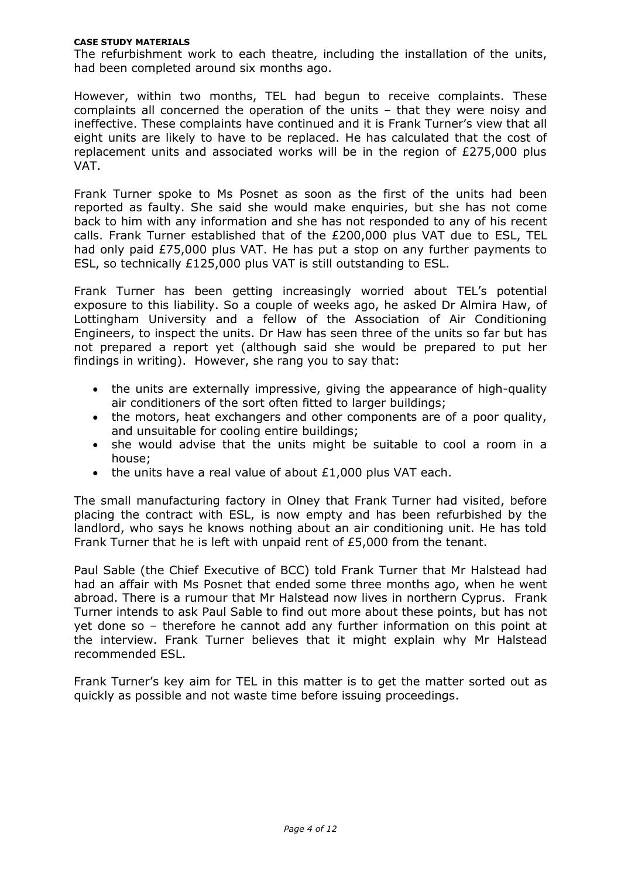#### **CASE STUDY MATERIALS**

The refurbishment work to each theatre, including the installation of the units, had been completed around six months ago.

However, within two months, TEL had begun to receive complaints. These complaints all concerned the operation of the units – that they were noisy and ineffective. These complaints have continued and it is Frank Turner's view that all eight units are likely to have to be replaced. He has calculated that the cost of replacement units and associated works will be in the region of £275,000 plus VAT.

Frank Turner spoke to Ms Posnet as soon as the first of the units had been reported as faulty. She said she would make enquiries, but she has not come back to him with any information and she has not responded to any of his recent calls. Frank Turner established that of the £200,000 plus VAT due to ESL, TEL had only paid £75,000 plus VAT. He has put a stop on any further payments to ESL, so technically £125,000 plus VAT is still outstanding to ESL.

Frank Turner has been getting increasingly worried about TEL's potential exposure to this liability. So a couple of weeks ago, he asked Dr Almira Haw, of Lottingham University and a fellow of the Association of Air Conditioning Engineers, to inspect the units. Dr Haw has seen three of the units so far but has not prepared a report yet (although said she would be prepared to put her findings in writing). However, she rang you to say that:

- the units are externally impressive, giving the appearance of high-quality air conditioners of the sort often fitted to larger buildings;
- the motors, heat exchangers and other components are of a poor quality, and unsuitable for cooling entire buildings;
- she would advise that the units might be suitable to cool a room in a house;
- the units have a real value of about £1,000 plus VAT each.

The small manufacturing factory in Olney that Frank Turner had visited, before placing the contract with ESL, is now empty and has been refurbished by the landlord, who says he knows nothing about an air conditioning unit. He has told Frank Turner that he is left with unpaid rent of £5,000 from the tenant.

Paul Sable (the Chief Executive of BCC) told Frank Turner that Mr Halstead had had an affair with Ms Posnet that ended some three months ago, when he went abroad. There is a rumour that Mr Halstead now lives in northern Cyprus. Frank Turner intends to ask Paul Sable to find out more about these points, but has not yet done so – therefore he cannot add any further information on this point at the interview. Frank Turner believes that it might explain why Mr Halstead recommended ESL.

Frank Turner's key aim for TEL in this matter is to get the matter sorted out as quickly as possible and not waste time before issuing proceedings.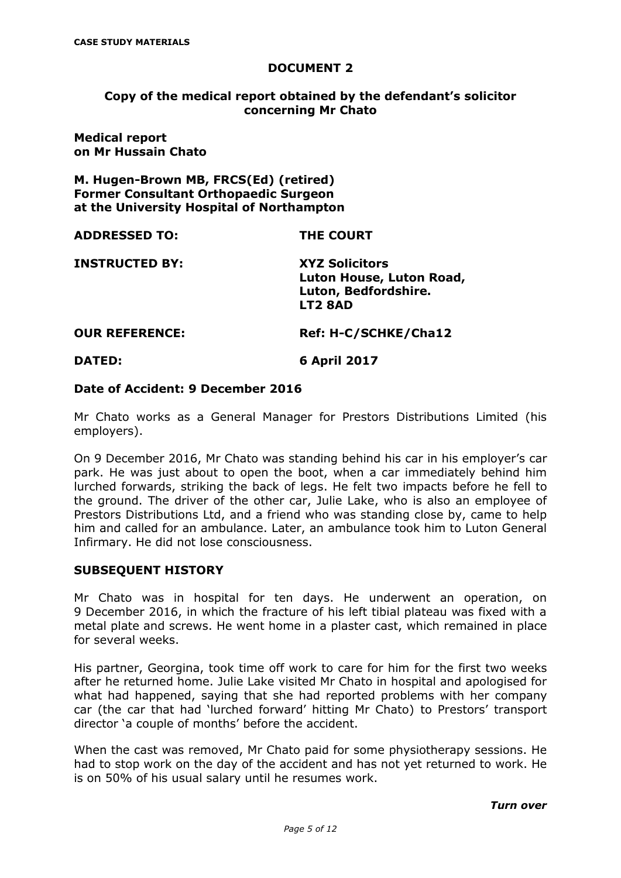## **Copy of the medical report obtained by the defendant's solicitor concerning Mr Chato**

**Medical report on Mr Hussain Chato**

**M. Hugen-Brown MB, FRCS(Ed) (retired) Former Consultant Orthopaedic Surgeon at the University Hospital of Northampton**

| <b>ADDRESSED TO:</b>  | <b>THE COURT</b>                                                                     |
|-----------------------|--------------------------------------------------------------------------------------|
| <b>INSTRUCTED BY:</b> | <b>XYZ Solicitors</b><br>Luton House, Luton Road,<br>Luton, Bedfordshire.<br>LT2 8AD |
|                       |                                                                                      |

**OUR REFERENCE: Ref: H-C/SCHKE/Cha12**

**DATED: 6 April 2017**

### **Date of Accident: 9 December 2016**

Mr Chato works as a General Manager for Prestors Distributions Limited (his employers).

On 9 December 2016, Mr Chato was standing behind his car in his employer's car park. He was just about to open the boot, when a car immediately behind him lurched forwards, striking the back of legs. He felt two impacts before he fell to the ground. The driver of the other car, Julie Lake, who is also an employee of Prestors Distributions Ltd, and a friend who was standing close by, came to help him and called for an ambulance. Later, an ambulance took him to Luton General Infirmary. He did not lose consciousness.

## **SUBSEQUENT HISTORY**

Mr Chato was in hospital for ten days. He underwent an operation, on 9 December 2016, in which the fracture of his left tibial plateau was fixed with a metal plate and screws. He went home in a plaster cast, which remained in place for several weeks.

His partner, Georgina, took time off work to care for him for the first two weeks after he returned home. Julie Lake visited Mr Chato in hospital and apologised for what had happened, saying that she had reported problems with her company car (the car that had 'lurched forward' hitting Mr Chato) to Prestors' transport director 'a couple of months' before the accident.

When the cast was removed, Mr Chato paid for some physiotherapy sessions. He had to stop work on the day of the accident and has not yet returned to work. He is on 50% of his usual salary until he resumes work.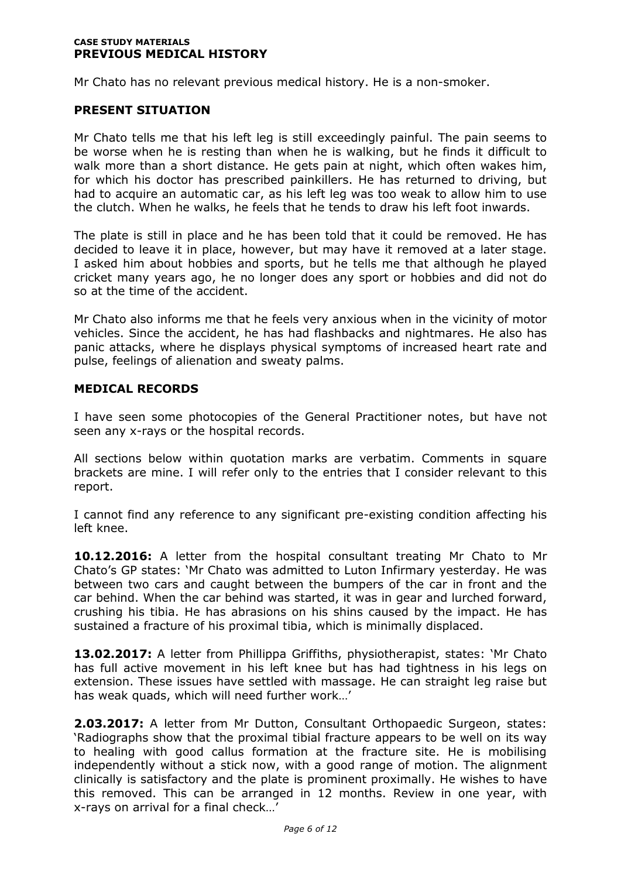#### **CASE STUDY MATERIALS PREVIOUS MEDICAL HISTORY**

Mr Chato has no relevant previous medical history. He is a non-smoker.

### **PRESENT SITUATION**

Mr Chato tells me that his left leg is still exceedingly painful. The pain seems to be worse when he is resting than when he is walking, but he finds it difficult to walk more than a short distance. He gets pain at night, which often wakes him, for which his doctor has prescribed painkillers. He has returned to driving, but had to acquire an automatic car, as his left leg was too weak to allow him to use the clutch. When he walks, he feels that he tends to draw his left foot inwards.

The plate is still in place and he has been told that it could be removed. He has decided to leave it in place, however, but may have it removed at a later stage. I asked him about hobbies and sports, but he tells me that although he played cricket many years ago, he no longer does any sport or hobbies and did not do so at the time of the accident.

Mr Chato also informs me that he feels very anxious when in the vicinity of motor vehicles. Since the accident, he has had flashbacks and nightmares. He also has panic attacks, where he displays physical symptoms of increased heart rate and pulse, feelings of alienation and sweaty palms.

### **MEDICAL RECORDS**

I have seen some photocopies of the General Practitioner notes, but have not seen any x-rays or the hospital records.

All sections below within quotation marks are verbatim. Comments in square brackets are mine. I will refer only to the entries that I consider relevant to this report.

I cannot find any reference to any significant pre-existing condition affecting his left knee.

**10.12.2016:** A letter from the hospital consultant treating Mr Chato to Mr Chato's GP states: 'Mr Chato was admitted to Luton Infirmary yesterday. He was between two cars and caught between the bumpers of the car in front and the car behind. When the car behind was started, it was in gear and lurched forward, crushing his tibia. He has abrasions on his shins caused by the impact. He has sustained a fracture of his proximal tibia, which is minimally displaced.

**13.02.2017:** A letter from Phillippa Griffiths, physiotherapist, states: 'Mr Chato has full active movement in his left knee but has had tightness in his legs on extension. These issues have settled with massage. He can straight leg raise but has weak quads, which will need further work…'

**2.03.2017:** A letter from Mr Dutton, Consultant Orthopaedic Surgeon, states: 'Radiographs show that the proximal tibial fracture appears to be well on its way to healing with good callus formation at the fracture site. He is mobilising independently without a stick now, with a good range of motion. The alignment clinically is satisfactory and the plate is prominent proximally. He wishes to have this removed. This can be arranged in 12 months. Review in one year, with x-rays on arrival for a final check…'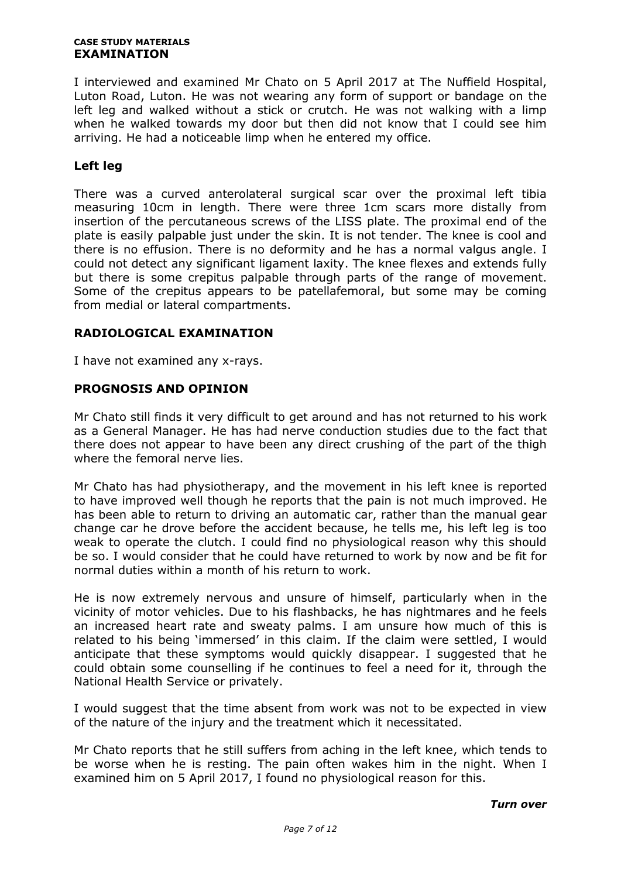#### **CASE STUDY MATERIALS EXAMINATION**

I interviewed and examined Mr Chato on 5 April 2017 at The Nuffield Hospital, Luton Road, Luton. He was not wearing any form of support or bandage on the left leg and walked without a stick or crutch. He was not walking with a limp when he walked towards my door but then did not know that I could see him arriving. He had a noticeable limp when he entered my office.

## **Left leg**

There was a curved anterolateral surgical scar over the proximal left tibia measuring 10cm in length. There were three 1cm scars more distally from insertion of the percutaneous screws of the LISS plate. The proximal end of the plate is easily palpable just under the skin. It is not tender. The knee is cool and there is no effusion. There is no deformity and he has a normal valgus angle. I could not detect any significant ligament laxity. The knee flexes and extends fully but there is some crepitus palpable through parts of the range of movement. Some of the crepitus appears to be patellafemoral, but some may be coming from medial or lateral compartments.

## **RADIOLOGICAL EXAMINATION**

I have not examined any x-rays.

## **PROGNOSIS AND OPINION**

Mr Chato still finds it very difficult to get around and has not returned to his work as a General Manager. He has had nerve conduction studies due to the fact that there does not appear to have been any direct crushing of the part of the thigh where the femoral nerve lies.

Mr Chato has had physiotherapy, and the movement in his left knee is reported to have improved well though he reports that the pain is not much improved. He has been able to return to driving an automatic car, rather than the manual gear change car he drove before the accident because, he tells me, his left leg is too weak to operate the clutch. I could find no physiological reason why this should be so. I would consider that he could have returned to work by now and be fit for normal duties within a month of his return to work.

He is now extremely nervous and unsure of himself, particularly when in the vicinity of motor vehicles. Due to his flashbacks, he has nightmares and he feels an increased heart rate and sweaty palms. I am unsure how much of this is related to his being 'immersed' in this claim. If the claim were settled, I would anticipate that these symptoms would quickly disappear. I suggested that he could obtain some counselling if he continues to feel a need for it, through the National Health Service or privately.

I would suggest that the time absent from work was not to be expected in view of the nature of the injury and the treatment which it necessitated.

Mr Chato reports that he still suffers from aching in the left knee, which tends to be worse when he is resting. The pain often wakes him in the night. When I examined him on 5 April 2017, I found no physiological reason for this.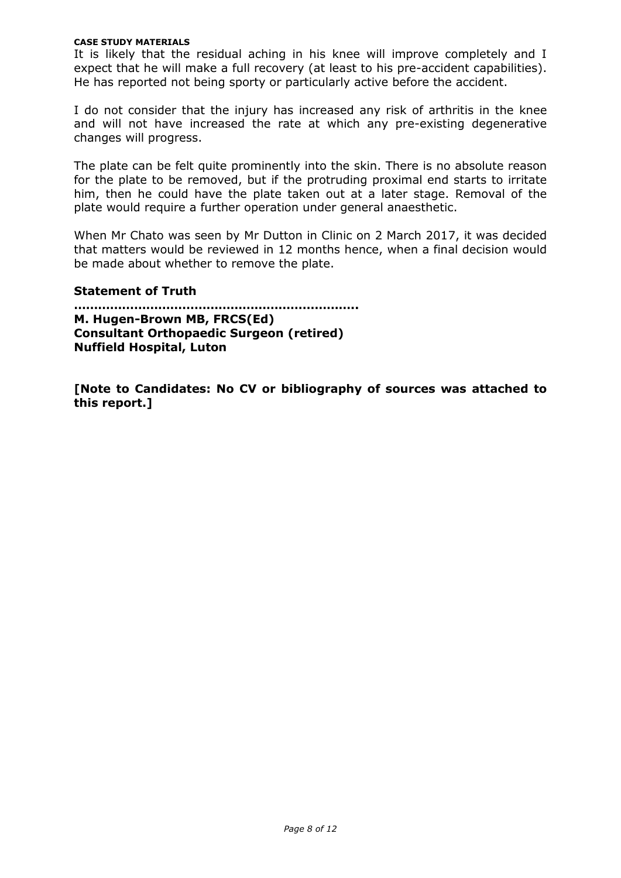#### **CASE STUDY MATERIALS**

It is likely that the residual aching in his knee will improve completely and I expect that he will make a full recovery (at least to his pre-accident capabilities). He has reported not being sporty or particularly active before the accident.

I do not consider that the injury has increased any risk of arthritis in the knee and will not have increased the rate at which any pre-existing degenerative changes will progress.

The plate can be felt quite prominently into the skin. There is no absolute reason for the plate to be removed, but if the protruding proximal end starts to irritate him, then he could have the plate taken out at a later stage. Removal of the plate would require a further operation under general anaesthetic.

When Mr Chato was seen by Mr Dutton in Clinic on 2 March 2017, it was decided that matters would be reviewed in 12 months hence, when a final decision would be made about whether to remove the plate.

### **Statement of Truth**

**…………………………………………………………….. M. Hugen-Brown MB, FRCS(Ed) Consultant Orthopaedic Surgeon (retired) Nuffield Hospital, Luton**

**[Note to Candidates: No CV or bibliography of sources was attached to this report.]**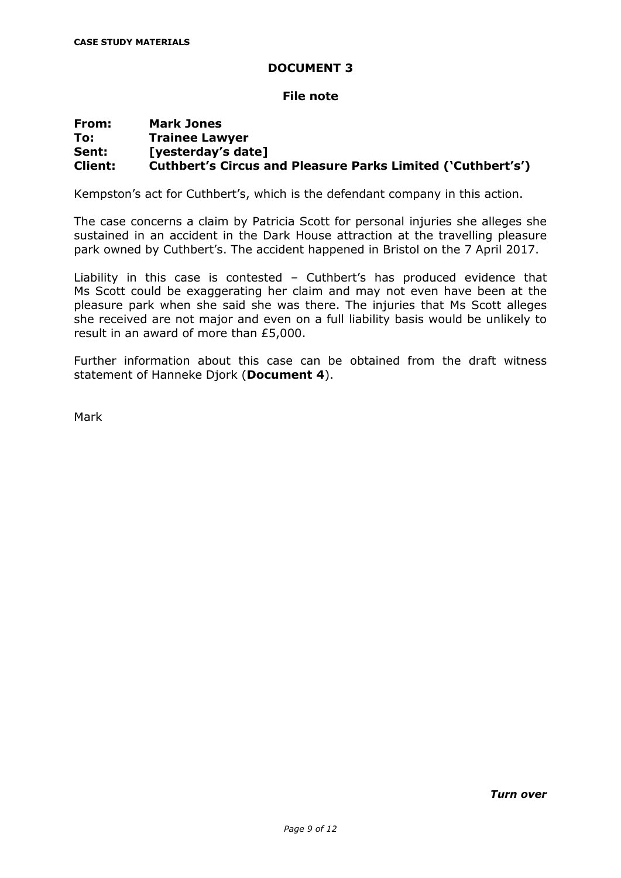### **File note**

## **From: Mark Jones To: Trainee Lawyer Sent: [yesterday's date] Client: Cuthbert's Circus and Pleasure Parks Limited ('Cuthbert's')**

Kempston's act for Cuthbert's, which is the defendant company in this action.

The case concerns a claim by Patricia Scott for personal injuries she alleges she sustained in an accident in the Dark House attraction at the travelling pleasure park owned by Cuthbert's. The accident happened in Bristol on the 7 April 2017.

Liability in this case is contested – Cuthbert's has produced evidence that Ms Scott could be exaggerating her claim and may not even have been at the pleasure park when she said she was there. The injuries that Ms Scott alleges she received are not major and even on a full liability basis would be unlikely to result in an award of more than £5,000.

Further information about this case can be obtained from the draft witness statement of Hanneke Djork (**Document 4**).

Mark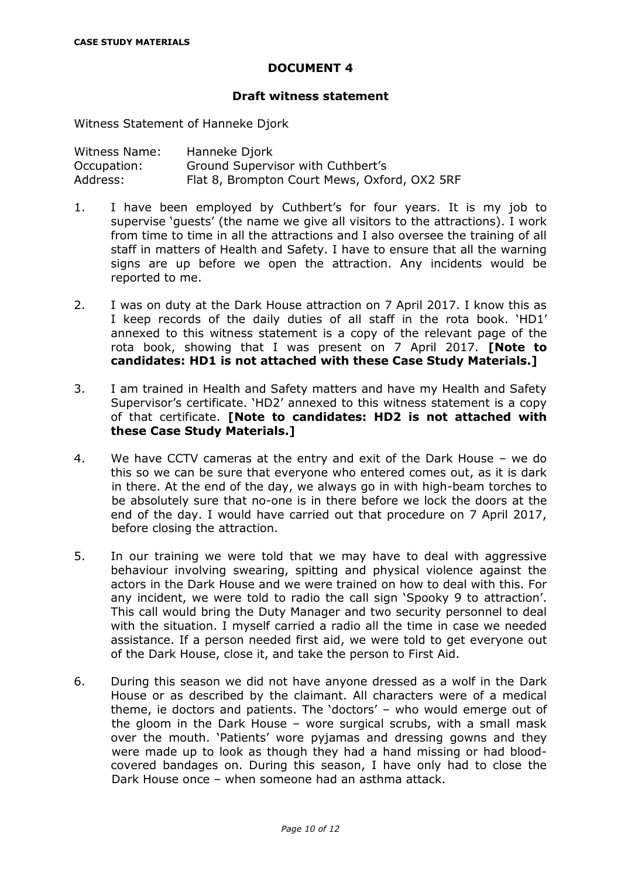### **Draft witness statement**

Witness Statement of Hanneke Djork

| Witness Name: | Hanneke Djork                                |
|---------------|----------------------------------------------|
| Occupation:   | Ground Supervisor with Cuthbert's            |
| Address:      | Flat 8, Brompton Court Mews, Oxford, OX2 5RF |

- 1. I have been employed by Cuthbert's for four years. It is my job to supervise 'guests' (the name we give all visitors to the attractions). I work from time to time in all the attractions and I also oversee the training of all staff in matters of Health and Safety. I have to ensure that all the warning signs are up before we open the attraction. Any incidents would be reported to me.
- 2. I was on duty at the Dark House attraction on 7 April 2017. I know this as I keep records of the daily duties of all staff in the rota book. 'HD1' annexed to this witness statement is a copy of the relevant page of the rota book, showing that I was present on 7 April 2017. **[Note to candidates: HD1 is not attached with these Case Study Materials.]**
- 3. I am trained in Health and Safety matters and have my Health and Safety Supervisor's certificate. 'HD2' annexed to this witness statement is a copy of that certificate. **[Note to candidates: HD2 is not attached with these Case Study Materials.]**
- 4. We have CCTV cameras at the entry and exit of the Dark House we do this so we can be sure that everyone who entered comes out, as it is dark in there. At the end of the day, we always go in with high-beam torches to be absolutely sure that no-one is in there before we lock the doors at the end of the day. I would have carried out that procedure on 7 April 2017, before closing the attraction.
- 5. In our training we were told that we may have to deal with aggressive behaviour involving swearing, spitting and physical violence against the actors in the Dark House and we were trained on how to deal with this. For any incident, we were told to radio the call sign 'Spooky 9 to attraction'. This call would bring the Duty Manager and two security personnel to deal with the situation. I myself carried a radio all the time in case we needed assistance. If a person needed first aid, we were told to get everyone out of the Dark House, close it, and take the person to First Aid.
- 6. During this season we did not have anyone dressed as a wolf in the Dark House or as described by the claimant. All characters were of a medical theme, ie doctors and patients. The 'doctors' – who would emerge out of the gloom in the Dark House – wore surgical scrubs, with a small mask over the mouth. 'Patients' wore pyjamas and dressing gowns and they were made up to look as though they had a hand missing or had bloodcovered bandages on. During this season, I have only had to close the Dark House once – when someone had an asthma attack.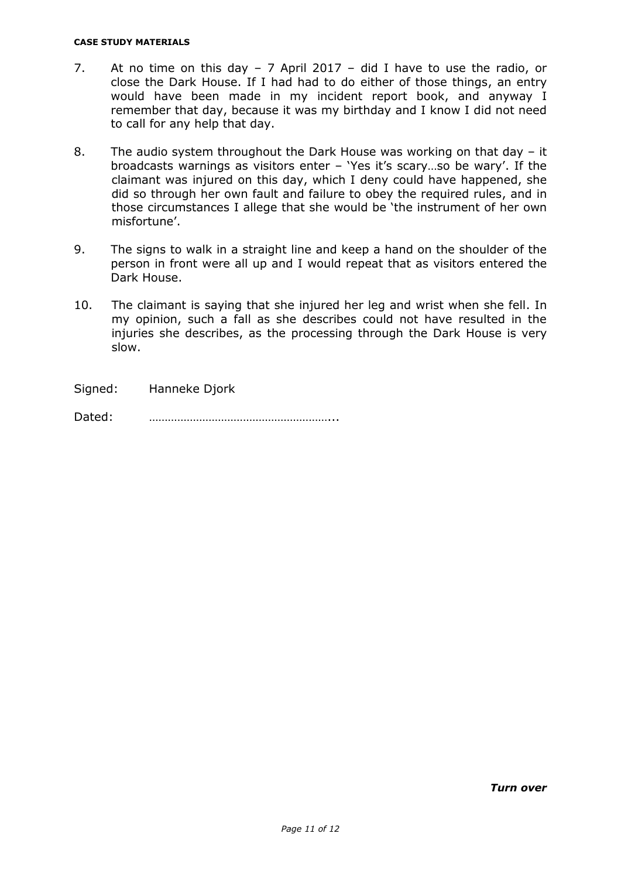#### **CASE STUDY MATERIALS**

- 7. At no time on this day 7 April 2017 did I have to use the radio, or close the Dark House. If I had had to do either of those things, an entry would have been made in my incident report book, and anyway I remember that day, because it was my birthday and I know I did not need to call for any help that day.
- 8. The audio system throughout the Dark House was working on that day it broadcasts warnings as visitors enter – 'Yes it's scary…so be wary'. If the claimant was injured on this day, which I deny could have happened, she did so through her own fault and failure to obey the required rules, and in those circumstances I allege that she would be 'the instrument of her own misfortune'.
- 9. The signs to walk in a straight line and keep a hand on the shoulder of the person in front were all up and I would repeat that as visitors entered the Dark House.
- 10. The claimant is saying that she injured her leg and wrist when she fell. In my opinion, such a fall as she describes could not have resulted in the injuries she describes, as the processing through the Dark House is very slow.

Signed: Hanneke Djork

Dated: …………………………………………………...